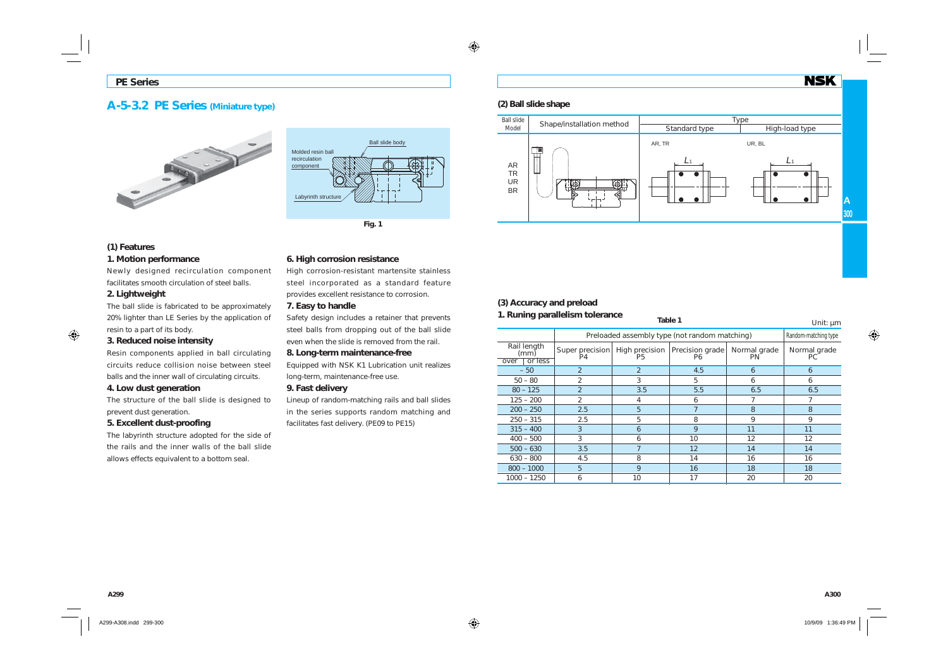# **A-5-3.2 PE Series (Miniature type)**





### **(1) Features 1. Motion performance**

Newly designed recirculation component facilitates smooth circulation of steel balls.

## **2. Lightweight**

The ball slide is fabricated to be approximately 20% lighter than LE Series by the application of resin to a part of its body.

### **3. Reduced noise intensity**

Resin components applied in ball circulating circuits reduce collision noise between steel balls and the inner wall of circulating circuits.

### **4. Low dust generation**

The structure of the ball slide is designed to prevent dust generation.

## **5. Excellent dust-proofing**

The labyrinth structure adopted for the side of the rails and the inner walls of the ball slide allows effects equivalent to a bottom seal.

## **6. High corrosion resistance**

High corrosion-resistant martensite stainless steel incorporated as a standard feature provides excellent resistance to corrosion.

### **7. Easy to handle**

Safety design includes a retainer that prevents steel balls from dropping out of the ball slide even when the slide is removed from the rail.

### **8. Long-term maintenance-free**

Equipped with NSK K1 Lubrication unit realizes long-term, maintenance-free use.

### **9. Fast delivery**

Lineup of random-matching rails and ball slides in the series supports random matching and facilitates fast delivery. (PE09 to PE15)

## **(2) Ball slide shape**



## **(3) Accuracy and preload**

#### **1. Runing parallelism tolerance Table 1** Unit: µm Preloaded assembly type (not random matching) Random-matching type  $-50$  2 2 4.5 6 6  $6$ 50 – 80 – 2 – 3 – 5 – 6 – 6 6  $80 - 125$  2  $1 \t3.5$  5.5  $6.5$  6.5  $125 - 200$  2 4 6 7 7 200 – 250 **2.5** 5 7 8 8  $250 - 315$  2.5 5 8 9 9  $315 - 400$  3 6 9 11 1 400 – 500 | 3 | 6 | 10 | 12  $12$ 500 – 630 **3.5** 7 12 14 14 14 630 – 800 4.5 8 14 16 16 800 – 1000 5 9 16 18 181000 – 1250 6 10 17 20 20 Rail length (mm) over | or less Super precision P4High precision P5 Precision grade P6 Normal grade PN Normal grade PC

**NSK**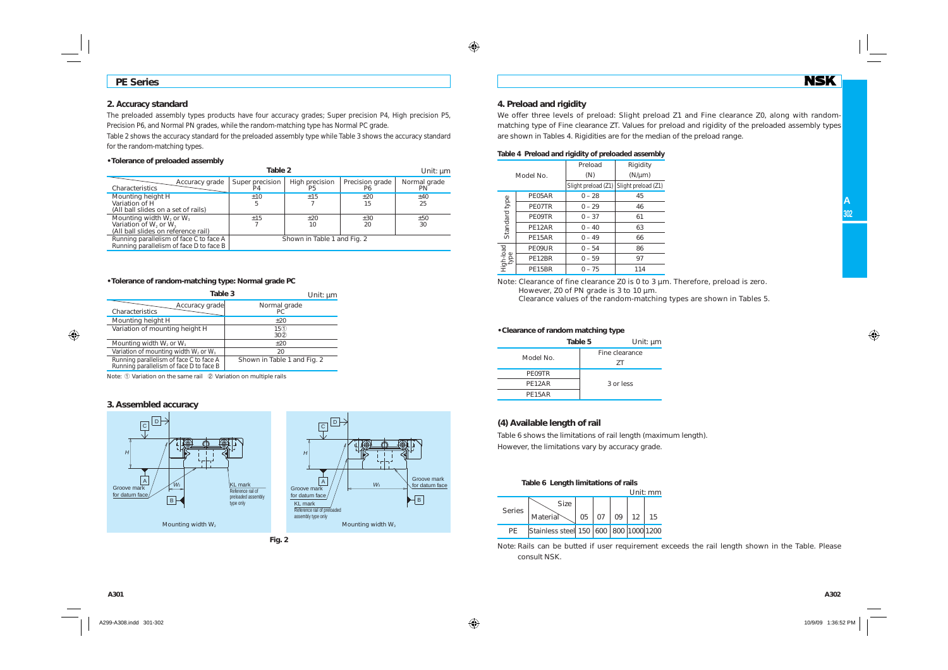## **PE Series**

### **2. Accuracy standard**

The preloaded assembly types products have four accuracy grades; Super precision P4, High precision P5, Precision P6, and Normal PN grades, while the random-matching type has Normal PC grade.

Table 2 shows the accuracy standard for the preloaded assembly type while Table 3 shows the accuracy standard for the random-matching types.

### **• Tolerance of preloaded assembly**

|                                                                                                     | Unit: $\mu$ m               |                                  |                       |                    |  |  |  |  |
|-----------------------------------------------------------------------------------------------------|-----------------------------|----------------------------------|-----------------------|--------------------|--|--|--|--|
| Accuracy grade<br>Characteristics                                                                   | Super precision<br>P4       | High precision<br>P <sub>5</sub> | Precision grade<br>Р6 | Normal grade<br>PN |  |  |  |  |
| Mounting height H<br>Variation of H<br>(All ball slides on a set of rails)                          | ±10<br>5                    | $+15$                            | ±20<br>15             | ±40<br>25          |  |  |  |  |
| Mounting width $W_2$ or $W_3$<br>Variation of $W_2$ or $W_3$<br>(All ball slides on reference rail) | ±15                         | $+20$<br>$+30$<br>20<br>10       |                       |                    |  |  |  |  |
| Running parallelism of face C to face A<br>Running parallelism of face D to face B                  | Shown in Table 1 and Fig. 2 |                                  |                       |                    |  |  |  |  |

#### **• Tolerance of random-matching type: Normal grade PC**

| Table 3                                                                            | Unit: $µm$                  |
|------------------------------------------------------------------------------------|-----------------------------|
| Accuracy grade<br>Characteristics                                                  | Normal grade<br>PC.         |
| Mounting height H                                                                  | $+20$                       |
| Variation of mounting height H                                                     | 150<br>30 <sup>2</sup>      |
| Mounting width $W_2$ or $W_3$                                                      | $+20$                       |
| Variation of mounting width $W_2$ or $W_3$                                         | 20                          |
| Running parallelism of face C to face A<br>Running parallelism of face D to face B | Shown in Table 1 and Fig. 2 |

Note: ① Variation on the same rail ② Variation on multiple rails

#### **3. Assembled accuracy**







#### **4. Preload and rigidity**

We offer three levels of preload: Slight preload Z1 and Fine clearance Z0, along with randommatching type of Fine clearance ZT. Values for preload and rigidity of the preloaded assembly types are shown in Tables 4. Rigidities are for the median of the preload range.

#### **Table 4 Preload and rigidity of preloaded assembly**

|                   |           | Preload             | Rigidity            |  |  |
|-------------------|-----------|---------------------|---------------------|--|--|
|                   | Model No. | (N)                 | $(N/\mu m)$         |  |  |
|                   |           | Slight preload (Z1) | Slight preload (Z1) |  |  |
|                   | PE05AR    | $0 - 28$            | 45                  |  |  |
|                   | PE07TR    | $0 - 29$            | 46                  |  |  |
|                   | PE09TR    | $0 - 37$            | 61                  |  |  |
| Standard type     | PE12AR    | $0 - 40$            | 63                  |  |  |
|                   | PE15AR    | $0 - 49$            | 66                  |  |  |
|                   | PE09UR    | $0 - 54$            | 86                  |  |  |
| High-load<br>type | PE12BR    | $0 - 59$            | 97                  |  |  |
|                   | PE15BR    | $0 - 75$            | 114                 |  |  |

Note: Clearance of fine clearance Z0 is 0 to 3 µm. Therefore, preload is zero. However, Z0 of PN grade is 3 to 10 µm.

Clearance values of the random-matching types are shown in Tables 5.

#### **• Clearance of random matching type**

| Table 5<br>Unit: µm |
|---------------------|
| Fine clearance      |
| 7T                  |
|                     |
| 3 or less           |
|                     |
|                     |

#### **(4) Available length of rail**

Table 6 shows the limitations of rail length (maximum length). However, the limitations vary by accuracy grade.

#### **Table 6 Length limitations of rails**

|               |                                       |    |    |    |            | Unit: mm |
|---------------|---------------------------------------|----|----|----|------------|----------|
| <b>Series</b> | <b>Size</b><br>Material               | 05 | 07 | 09 | $\vert$ 12 |          |
| РF            | Stainless steel 150 600 800 1000 1200 |    |    |    |            |          |

Note: Rails can be butted if user requirement exceeds the rail length shown in the Table. Please consult NSK.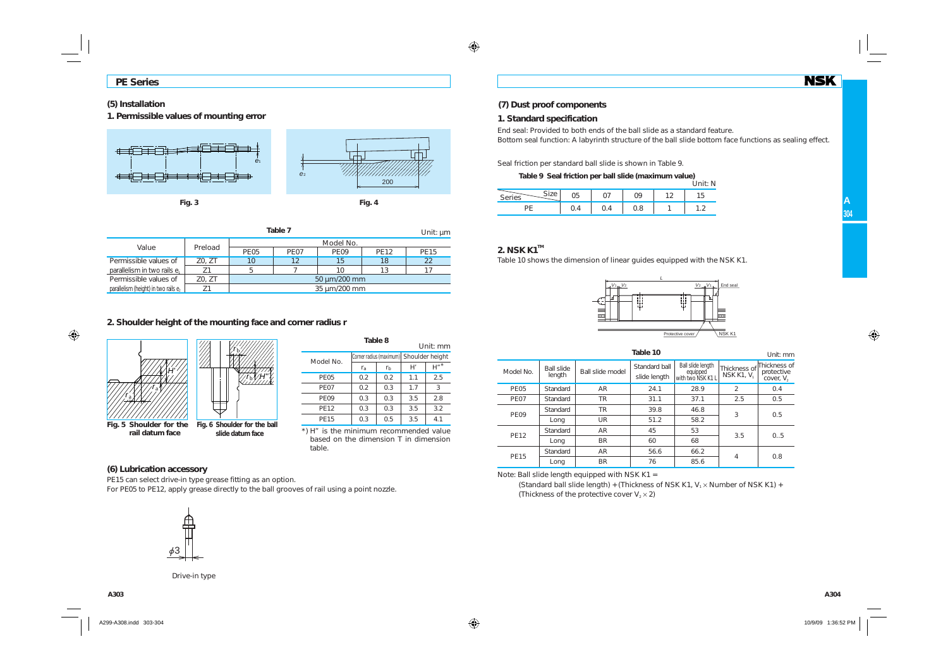## **(5) Installation**

**1. Permissible values of mounting error**



| Table 7<br>Unit: $\mu$ m                |                    |             |                  |              |             |             |  |  |  |  |  |  |  |
|-----------------------------------------|--------------------|-------------|------------------|--------------|-------------|-------------|--|--|--|--|--|--|--|
|                                         |                    | Model No.   |                  |              |             |             |  |  |  |  |  |  |  |
| Value                                   | Preload            | <b>PE05</b> | PE <sub>07</sub> | <b>PE09</b>  | <b>PE12</b> | <b>PE15</b> |  |  |  |  |  |  |  |
| Permissible values of                   | 12<br>Z0. ZT<br>10 |             |                  | 15           | 18          | 22          |  |  |  |  |  |  |  |
| parallelism in two rails e <sub>1</sub> |                    |             |                  | 10           | 13          |             |  |  |  |  |  |  |  |
| Permissible values of                   | Z0, ZT             |             |                  | 50 µm/200 mm |             |             |  |  |  |  |  |  |  |
| parallelism (height) in two rails e,    | 35 µm/200 mm       |             |                  |              |             |             |  |  |  |  |  |  |  |

## **2. Shoulder height of the mounting face and corner radius r**



|             | Unit: mm       |     |                                         |         |  |  |
|-------------|----------------|-----|-----------------------------------------|---------|--|--|
| Model No.   |                |     | Corner radius (maximum) Shoulder height |         |  |  |
|             | r <sub>a</sub> | rь  | H'                                      | $H''$ * |  |  |
| <b>PE05</b> | 0.2            | 0.2 | 1.1                                     | 2.5     |  |  |
| <b>PE07</b> | 0.2            | 0.3 | 1.7                                     | 3       |  |  |
| <b>PE09</b> | 0.3            | 0.3 | 3.5                                     | 2.8     |  |  |
| <b>PE12</b> | 0.3            | 0.3 | 3.5                                     | 3.2     |  |  |
| <b>PE15</b> | 0.3            | 0.5 | 3.5                                     | 4.1     |  |  |
|             |                |     |                                         |         |  |  |

\*) H" is the minimum recommended value based on the dimension T in dimension table.

## **(6) Lubrication accessory**

PE15 can select drive-in type grease fitting as an option. For PE05 to PE12, apply grease directly to the ball grooves of rail using a point nozzle.

## **1. Standard specification**

End seal: Provided to both ends of the ball slide as a standard feature. Bottom seal function: A labyrinth structure of the ball slide bottom face functions as sealing effect.

Seal friction per standard ball slide is shown in Table 9.

**Table 9 Seal friction per ball slide (maximum value)**  $\frac{1}{100}$ 

|                               |     |     | <b>UIIIL.IV</b> |
|-------------------------------|-----|-----|-----------------|
| $\sim$ : $-$<br><b>Series</b> |     | ገባ  |                 |
|                               | ◡.¬ | U.ŏ | . . <u>.</u>    |

**NSK** 

**A**

## **2. NSK K1TM**

Table 10 shows the dimension of linear guides equipped with the NSK K1.



Model No.Ball slide | Ball slide model | Standard ball | Ball slide length equipped<br>| equipped slide length | with two NSK K1 Thickness of Thickness of NSK K1, *V*<sub>1</sub> protective cover, *V*<sub>2</sub> PE05 Standard AR 24.1 28.9 2  $0.4$ PE07 Standard TR 31.1 37.1 2.5 0.5 PE09 Standard TR 39.8 46.8 3 0.5Long | UR | 51.2 | 58.2 PE12 Standardd | AR | 45 | 53 3.5 0..5 1 Long | BR | 60 | 68 PE15 Standard  $AR$  56.6 66.2 4 0.8 Long BR 76 85.6 **Table 10**Unit: mm

Note: Ball slide length equipped with NSK K1 =

(Standard ball slide length) + (Thickness of NSK K1,  $V_1 \times$  Number of NSK K1) + (Thickness of the protective cover  $V_2 \times 2$ )



Drive-in type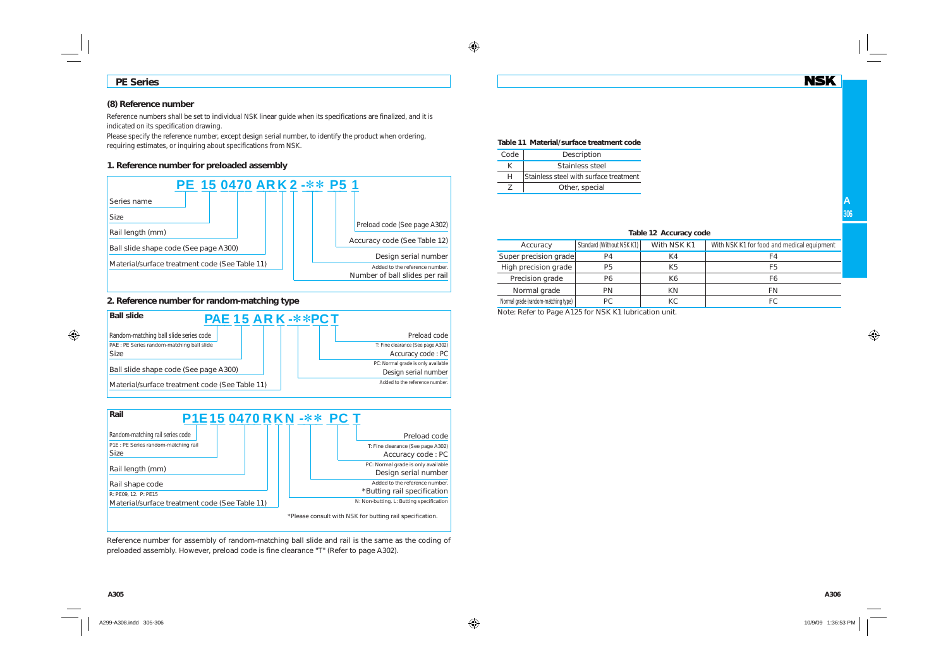## **PE Series**

## **(8) Reference number**

Reference numbers shall be set to individual NSK linear guide when its specifications are finalized, and it is indicated on its specification drawing.

Please specify the reference number, except design serial number, to identify the product when ordering. requiring estimates, or inquiring about specifications from NSK.

## **1. Reference number for preloaded assembly**



## **2. Reference number for random-matching type**





Reference number for assembly of random-matching ball slide and rail is the same as the coding of preloaded assembly. However, preload code is fine clearance "T" (Refer to page A302).

### **Table 11 Material/surface treatment code**

| Code | Description                            |
|------|----------------------------------------|
|      | Stainless steel                        |
| н    | Stainless steel with surface treatment |
|      | Other, special                         |

|  | Table 12 Accuracy code |  |
|--|------------------------|--|
|--|------------------------|--|

| Accuracy                            | Standard (Without NSK K1) | With NSK K1 | With NSK K1 for food and medical equipment |
|-------------------------------------|---------------------------|-------------|--------------------------------------------|
| Super precision grade               | P4                        | K4          | FΔ                                         |
| High precision grade                | <b>P5</b>                 | K5          | F5                                         |
| Precision grade                     | P6                        | Κ6          | F6                                         |
| Normal grade                        | PN                        | ΚN          | FN                                         |
| Normal grade (random-matching type) | РC                        | КC          | FC                                         |

Note: Refer to Page A125 for NSK K1 lubrication unit.